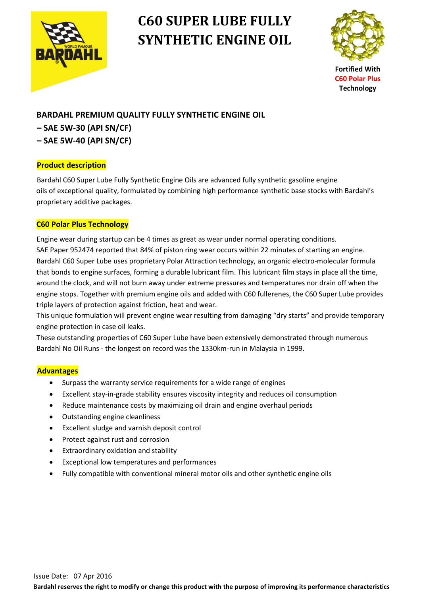

# **C60 SUPER LUBE FULLY SYNTHETIC ENGINE OIL**



**Fortified With C60 Polar Plus Technology**

## **BARDAHL PREMIUM QUALITY FULLY SYNTHETIC ENGINE OIL – SAE 5W-30 (API SN/CF)**

- 
- **– SAE 5W-40 (API SN/CF)**

#### **Product description**

Bardahl C60 Super Lube Fully Synthetic Engine Oils are advanced fully synthetic gasoline engine oils of exceptional quality, formulated by combining high performance synthetic base stocks with Bardahl's proprietary additive packages.

### **C60 Polar Plus Technology**

 Engine wear during startup can be 4 times as great as wear under normal operating conditions. SAE Paper 952474 reported that 84% of piston ring wear occurs within 22 minutes of starting an engine. Bardahl C60 Super Lube uses proprietary Polar Attraction technology, an organic electro-molecular formula that bonds to engine surfaces, forming a durable lubricant film. This lubricant film stays in place all the time, around the clock, and will not burn away under extreme pressures and temperatures nor drain off when the engine stops. Together with premium engine oils and added with C60 fullerenes, the C60 Super Lube provides triple layers of protection against friction, heat and wear.

 This unique formulation will prevent engine wear resulting from damaging "dry starts" and provide temporary engine protection in case oil leaks.

 These outstanding properties of C60 Super Lube have been extensively demonstrated through numerous Bardahl No Oil Runs - the longest on record was the 1330km-run in Malaysia in 1999.

#### **Advantages**

- Surpass the warranty service requirements for a wide range of engines
- Excellent stay-in-grade stability ensures viscosity integrity and reduces oil consumption
- Reduce maintenance costs by maximizing oil drain and engine overhaul periods
- Outstanding engine cleanliness
- Excellent sludge and varnish deposit control
- Protect against rust and corrosion
- Extraordinary oxidation and stability
- Exceptional low temperatures and performances
- Fully compatible with conventional mineral motor oils and other synthetic engine oils

**Bardahl reserves the right to modify or change this product with the purpose of improving its performance characteristics**